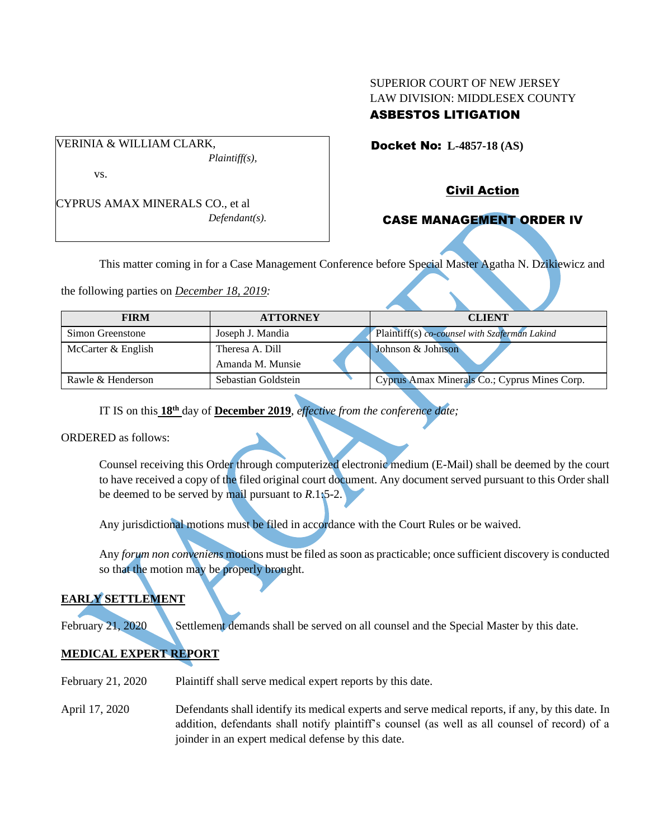# SUPERIOR COURT OF NEW JERSEY LAW DIVISION: MIDDLESEX COUNTY ASBESTOS LITIGATION

Docket No: **L-4857-18 (AS)** 

vs.

CYPRUS AMAX MINERALS CO., et al *Defendant(s).*

*Plaintiff(s),*

VERINIA & WILLIAM CLARK,

Civil Action

# CASE MANAGEMENT ORDER IV

This matter coming in for a Case Management Conference before Special Master Agatha N. Dzikiewicz and

the following parties on *December 18, 2019:*

| <b>FIRM</b>        | <b>ATTORNEY</b>     | <b>CLIENT</b>                                 |
|--------------------|---------------------|-----------------------------------------------|
| Simon Greenstone   | Joseph J. Mandia    | Plaintiff(s) co-counsel with Szaferman Lakind |
| McCarter & English | Theresa A. Dill     | Johnson & Johnson                             |
|                    | Amanda M. Munsie    |                                               |
| Rawle & Henderson  | Sebastian Goldstein | Cyprus Amax Minerals Co.; Cyprus Mines Corp.  |

IT IS on this **18th** day of **December 2019**, *effective from the conference date;*

ORDERED as follows:

Counsel receiving this Order through computerized electronic medium (E-Mail) shall be deemed by the court to have received a copy of the filed original court document. Any document served pursuant to this Order shall be deemed to be served by mail pursuant to *R*.1:5-2.

Any jurisdictional motions must be filed in accordance with the Court Rules or be waived.

Any *forum non conveniens* motions must be filed as soon as practicable; once sufficient discovery is conducted so that the motion may be properly brought.

# **EARLY SETTLEMENT**

February 21, 2020 Settlement demands shall be served on all counsel and the Special Master by this date.

# **MEDICAL EXPERT REPORT**

- February 21, 2020 Plaintiff shall serve medical expert reports by this date.
- April 17, 2020 Defendants shall identify its medical experts and serve medical reports, if any, by this date. In addition, defendants shall notify plaintiff's counsel (as well as all counsel of record) of a joinder in an expert medical defense by this date.